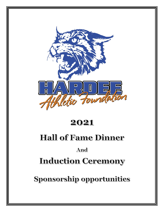

# 2021

# **Hall of Fame Dinner**

## And

# **Induction Ceremony**

Sponsorship opportunities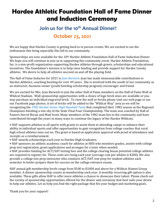# **Hardee Athletic Foundation Hall of Fame Dinner and Induction Ceremony**

## **Join us for the 10th Annual Dinner! October 23, 2021**

### We are happy that Hardee County is getting back to in person events. We are excited to see the enthusiasm this bring especially this fall in our community.

Sponsorships are now available for the 10<sup>th</sup> Hardee Athletic Foundation Hall of Fame Induction Dinner. We hope you will continue to join us in supporting this community event. Hardee Athletic Foundation, Inc. is a non-profit organization supporting Hardee athletes through grants, scholarships and educational incentives. The foundation's mission is to help raise funding and provide support for Hardee County athletes. We desire to help all athletes succeed on and off the playing field.

The Hall of Fame Inductee for 2021 is *Jean Barwick*. Jean has made immeasurable contributions to Hardee Athletics, coaching bowling for over 49 years. She is involved with the youth of our community as an instructor, business owner (youth bowling scholarship program) encourager and friend.

We are excited for Mrs. Jean Barwick to join the other Hall of Fame members on the Hall of Fame Wall at Wildcat Stadium. Wall sponsorship opportunities with a choice of logo brick sizes are available or you may purchase an individual engraved brick. To view the wall or bricks please visit our web page or see our Facebook page photos. A set of bricks will be added to the "Wildcat Way" area as we will be recognizing the *1982 Hardee Senior High Baseball Team* that completed their 1982 season as the Regional Champions finishing a win shy of the State Final Four Championship. The team was coached by Hall of Famers Derrel Bryan and Matt Scott. Many members of the 1982 team live in the community and have contributed through the years in many ways to continue the legacy of the Hardee Wildcats.

• HAF supports athletes in all sports with grants to assist them in attending camps to enhance their ability in individual sports and offer opportunities to gain recognition from college coaches that rural high school athletes miss out on. The grant is based on application approval with proof of attendance and receipts as a reimbursement.

- HAF awards scholarships each year to Hardee High Graduates.
- HAF sponsors an athletic academic coach for athletes at HHS who monitors grades, assists with college prep test registration, grant applications and arranges for a tutor when needed.

• HAF provides funding for ACT/SAT testing fees and the college clearing house potential college athletes are required to register for. These costs are rising each year (average cost per athlete is \$200). We also provide a college test prep instructor who conducts ACT/SAT test prep for student athletes each semester to better prepare them for success on the college entrance exams.

HAF annual gift membership levels range from \$100 to \$1000 and above for a Wildcat Alumni Group member. A dinner sponsorship counts as membership each year. A monthly recurring gift option is also available. These gifts allow HAF to offer more athletes a chance to showcase their talent. Please check out the variety of sponsorship opportunities offered for the dinner and ceremony that best suits your desire to help our athletes. Let us help you find the right package that fits your budget and marketing goals.

Thank you for your support!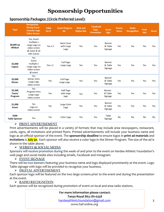# **Sponsorship Opportunities**

### **Sponsorship Packages: (Circle Preferred Level):**

| <b>Type</b>                   | <b>Recognition</b><br><b>During Event</b><br><b>Includes Logo</b><br><b>Video Screen</b>        | <b>Table</b><br>for 8 | <b>Event Program</b><br>Ad              | <b>Web and</b><br><b>Digital Ads</b> | <b>Facebook</b><br>Page<br><b>Promotion</b> | <b>Event</b><br><b>Sign</b>  | Promo<br><b>Items</b> | <b>Radio</b><br><b>Recognition</b> | <b>Print</b><br>Ads | <b>Decal</b> |
|-------------------------------|-------------------------------------------------------------------------------------------------|-----------------------|-----------------------------------------|--------------------------------------|---------------------------------------------|------------------------------|-----------------------|------------------------------------|---------------------|--------------|
| \$8,000 up<br>Wildcat         | Yes, Event<br>multiple x<br>Large Logo on<br>video screen<br>@ event & all<br><b>HAF</b> events | Yes $x$ 2             | <b>Back Cover</b><br>with Large<br>Logo | Yes                                  | Yes                                         | Banner<br>& Table<br>Signage | Yes                   | Yes                                | Yes                 | Yes          |
| \$5,000<br>Legacy             | Yes<br>Event<br>multiple x<br>Large Logo on<br>video screen<br>$@$ event                        | Yes $\times$ 2        | <b>Full Page</b><br>Large Logo          | Yes                                  | Yes                                         | Banner<br>& Table<br>Signage | Yes                   | Yes                                | Yes                 | Yes          |
| \$3,000<br><b>Dinner</b>      | Yes<br>Dinner Intro<br>Large Logo<br>video screen                                               | Yes                   | <b>Full Page</b><br>Large Logo          | Yes                                  | Yes                                         | Banner<br>& Table<br>Signage | Yes                   | Yes                                | Yes                 | Yes          |
| \$2,500<br>Team/<br>Program   | Yes<br>Program Intro<br>Large Logo<br>video screen                                              | Yes                   | Half Page<br>with large<br>logo         | Yes                                  | Yes                                         | Banner<br>& Table<br>Signage | Yes                   | Yes                                | Yes                 | Yes          |
| \$1,000<br>Event              | Yes<br>Logo on<br>video screen                                                                  | Yes                   | Large Color<br>Logo                     | Yes                                  | Yes                                         | Banner<br>& Table<br>Signage | Yes                   | Yes                                | Yes                 | Yes          |
| \$500<br><b>Table Sponsor</b> | Yes                                                                                             | Yes                   | Color Logo                              | Yes                                  | Yes                                         | Table<br>Signage             | <b>No</b>             | <b>No</b>                          | No                  | No           |

### ➢ **PRINT ADVERTISEMENT**

Print advertisements will be placed in a variety of formats that may include area newspapers, restaurant, cards, signs, all invitations and printed flyers. Printed advertisements will include your business name and logo as an official sponsor of the event. The **sponsorship deadline** to ensure logos in **print ad materials** and **invitations** is **July 30.** Each sponsor will also receive a color logo in the Dinner Program. The size of the ad is shown in the table above.

### ➢ **WEBSITE & SOCIAL MEDIA**

Sponsors will receive promotion during the week of and prior to the event on Hardee Athletic Foundation's web page and social media sites including emails, Facebook and Instagram.

### ➢ **EVENT SIGNAGE**

There will be two banners featuring your business name and logo displayed prominently at the event. Logo Table signage with logo will be provided to recognize your business.

### ➢ **DIGITAL ADVERTISEMENT**

Each sponsor logo will be featured on the two large screens prior to the event and during the presentation at the event.

### ➢ **RADIO RECOGNITION**

Each sponsor will be recognized during promotion of event on local and area radio stations.

**For more information please contact: Tanya Royal 863-781-0358** [hardeeathleticfoundation@gmail.com](mailto:hardeeathleticfoundation@gmail.com) www.haf-online.org